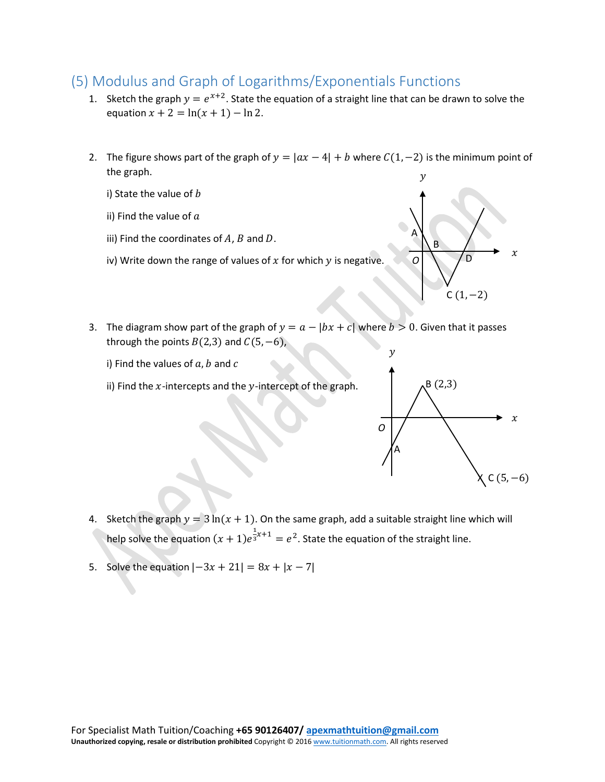## (5) Modulus and Graph of Logarithms/Exponentials Functions

- 1. Sketch the graph  $y = e^{x+2}$ . State the equation of a straight line that can be drawn to solve the equation  $x + 2 = \ln(x + 1) - \ln 2$ .
- 2. The figure shows part of the graph of  $y = |ax 4| + b$  where  $C(1, -2)$  is the minimum point of the graph.

i) State the value of  $b$ 

ii) Find the value of  $a$ 

- iii) Find the coordinates of  $A$ ,  $B$  and  $D$ .
- iv) Write down the range of values of  $x$  for which  $y$  is negative.



3. The diagram show part of the graph of  $y = a - |bx + c|$  where  $b > 0$ . Given that it passes through the points  $B(2,3)$  and  $C(5, -6)$ ,

i) Find the values of  $a, b$  and  $c$ 

ii) Find the  $x$ -intercepts and the  $y$ -intercept of the graph.



- 4. Sketch the graph  $y = 3 \ln(x + 1)$ . On the same graph, add a suitable straight line which will help solve the equation  $(x + 1)e^{\frac{1}{3}}$  $\overline{s}^{x+1} = e^2$ . State the equation of the straight line.
- 5. Solve the equation  $|-3x + 21| = 8x + |x 7|$